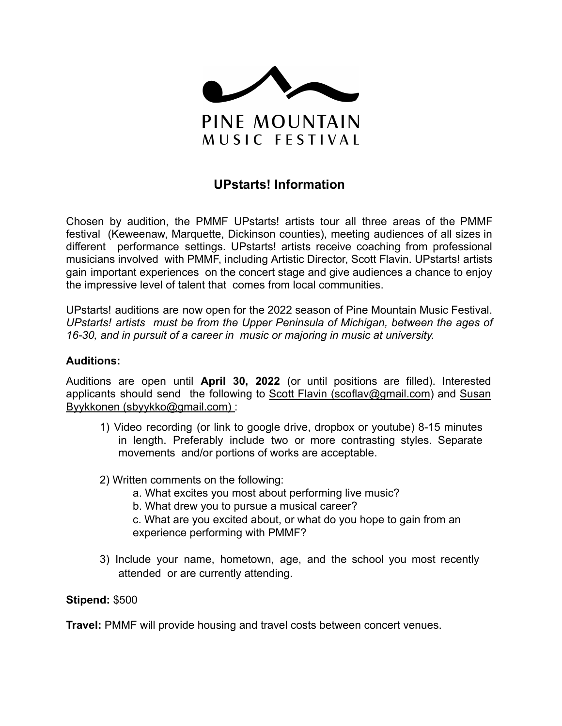

# **UPstarts! Information**

Chosen by audition, the PMMF UPstarts! artists tour all three areas of the PMMF festival (Keweenaw, Marquette, Dickinson counties), meeting audiences of all sizes in different performance settings. UPstarts! artists receive coaching from professional musicians involved with PMMF, including Artistic Director, Scott Flavin. UPstarts! artists gain important experiences on the concert stage and give audiences a chance to enjoy the impressive level of talent that comes from local communities.

UPstarts! auditions are now open for the 2022 season of Pine Mountain Music Festival. *UPstarts! artists must be from the Upper Peninsula of Michigan, between the ages of 16-30, and in pursuit of a career in music or majoring in music at university.*

#### **Auditions:**

Auditions are open until **April 30, 2022** (or until positions are filled). Interested applicants should send the following to Scott Flavin ([scoflav@gmail.com\)](mailto:scoflav@gmail.com) and Susan Byykkonen (sbyykko@gmail.com) :

- 1) Video recording (or link to google drive, dropbox or youtube) 8-15 minutes in length. Preferably include two or more contrasting styles. Separate movements and/or portions of works are acceptable.
- 2) Written comments on the following:
	- a. What excites you most about performing live music?
	- b. What drew you to pursue a musical career?
	- c. What are you excited about, or what do you hope to gain from an experience performing with PMMF?
- 3) Include your name, hometown, age, and the school you most recently attended or are currently attending.

#### **Stipend:** \$500

**Travel:** PMMF will provide housing and travel costs between concert venues.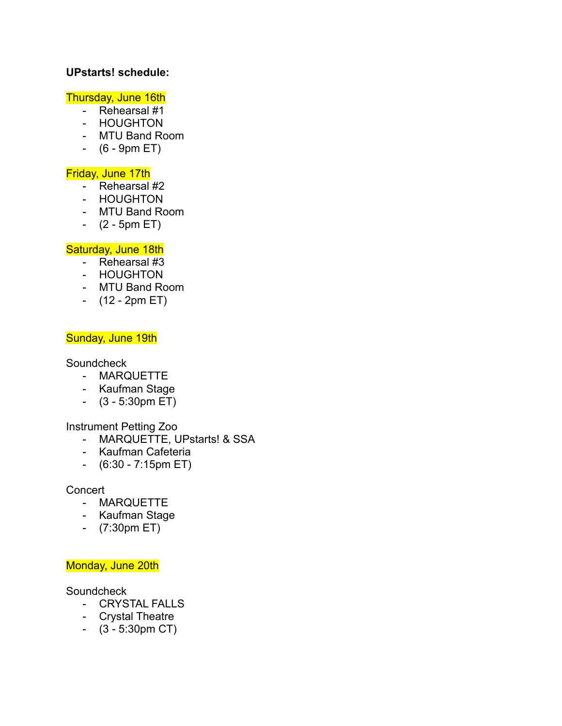# **UPstarts! schedule:**

# Thursday, June 16th

- Rehearsal #1
- HOUGHTON
- MTU Band Room
- (6 9pm ET)

## Friday, June 17th

- Rehearsal #2
- HOUGHTON
- MTU Band Room
- $(2 5pm ET)$

# Saturday, June 18th

- Rehearsal #3
- HOUGHTON
- MTU Band Room
- (12 2pm ET)

## Sunday, June 19th

Soundcheck

- MARQUETTE
- Kaufman Stage
- (3 5:30pm ET)

#### Instrument Petting Zoo

- MARQUETTE, UPstarts! & SSA
- Kaufman Cafeteria
- (6:30 7:15pm ET)

#### **Concert**

- MARQUETTE
- Kaufman Stage
- (7:30pm ET)

# Monday, June 20th

**Soundcheck** 

- CRYSTAL FALLS
- Crystal Theatre
- (3 5:30pm CT)